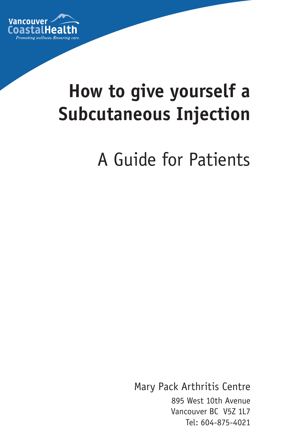

# **How to give yourself a Subcutaneous Injection**

A Guide for Patients

Mary Pack Arthritis Centre 895 West 10th Avenue Vancouver BC V5Z 1L7 Tel: 604-875-4021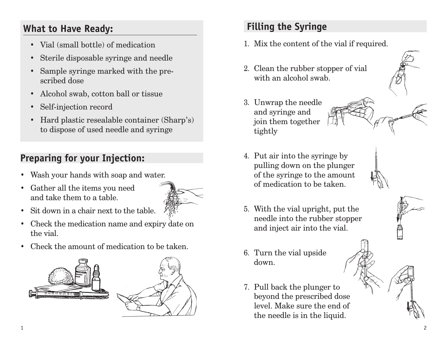#### **What to Have Ready:**

- Vial (small bottle) of medication
- • Sterile disposable syringe and needle
- • Sample syringe marked with the prescribed dose
- • Alcohol swab, cotton ball or tissue
- Self-injection record
- Hard plastic resealable container (Sharp's) to dispose of used needle and syringe

## **Preparing for your Injection:**

- • Wash your hands with soap and water.
- • Gather all the items you need and take them to a table.



- Sit down in a chair next to the table.
- Check the medication name and expiry date on the vial.
- • Check the amount of medication to be taken.





### **Filling the Syringe**

- 1. Mix the content of the vial if required.
- 2. Clean the rubber stopper of vial with an alcohol swab.
- 3. Unwrap the needle and syringe and join them together tightly

4. Put air into the syringe by

pulling down on the plunger of the syringe to the amount of medication to be taken.



- 5. With the vial upright, put the needle into the rubber stopper and inject air into the vial.
- 6. Turn the vial upside down.
- 7. Pull back the plunger to beyond the prescribed dose level. Make sure the end of the needle is in the liquid.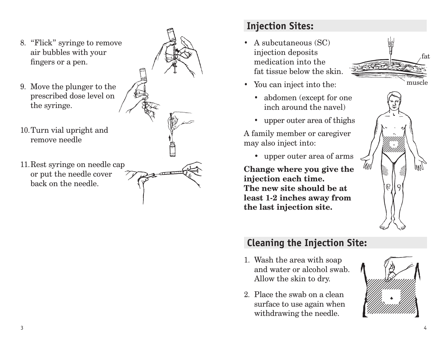

#### **Injection Sites:**

- A subcutaneous (SC) injection deposits medication into the fat tissue below the skin.
- You can inject into the:
	- abdomen (except for one inch around the navel)
	- upper outer area of thighs

A family member or caregiver may also inject into:

• upper outer area of arms

**Change where you give the injection each time. The new site should be at least 1-2 inches away from the last injection site.**





#### **Cleaning the Injection Site:**

- 1. Wash the area with soap and water or alcohol swab. Allow the skin to dry.
- 2. Place the swab on a clean surface to use again when withdrawing the needle.

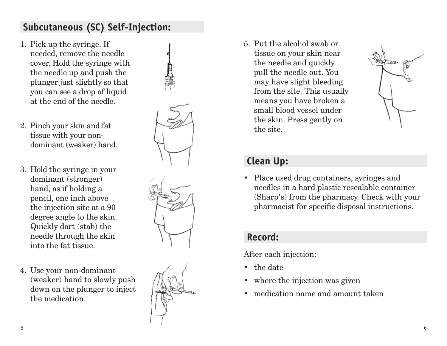#### **Subcutaneous (SC) Self-Injection:**

- 1. Pick up the syringe. If needed, remove the needle cover. Hold the syringe with the needle up and push the plunger just slightly so that you can see a drop of liquid at the end of the needle.
- 2. Pinch your skin and fat tissue with your nondominant (weaker) hand.
- 3. Hold the syringe in your dominant (stronger) hand, as if holding a pencil, one inch above the injection site at a 90 degree angle to the skin. Quickly dart (stab) the needle through the skin into the fat tissue.
- 4. Use your non-dominant (weaker) hand to slowly push down on the plunger to inject the medication.



5. Put the alcohol swab or tissue on your skin near the needle and quickly pull the needle out. You may have slight bleeding from the site. This usually means you have broken a small blood vessel under the skin. Press gently on the site.



#### **Clean Up:**

• Place used drug containers, syringes and needles in a hard plastic resealable container (Sharp's) from the pharmacy. Check with your pharmacist for specific disposal instructions.

#### **Record:**

After each injection:

- the date
- where the injection was given
- medication name and amount taken